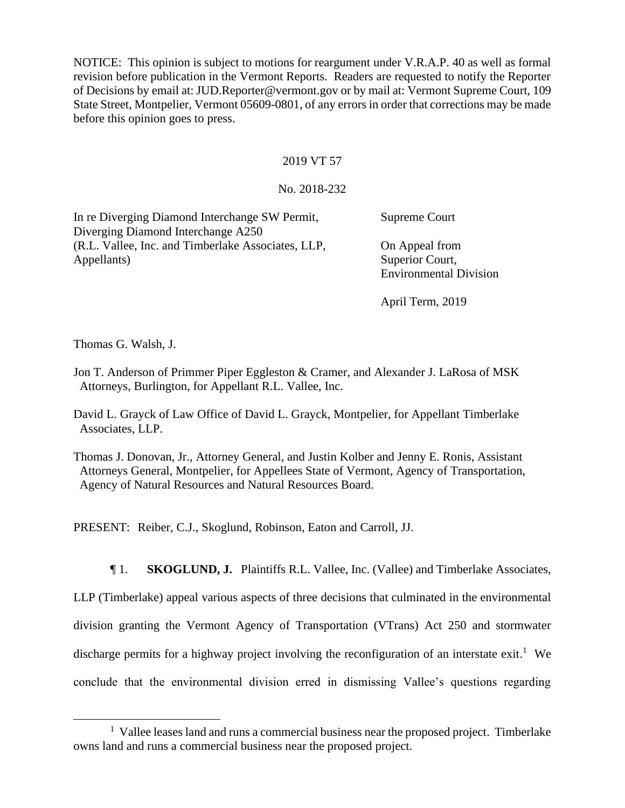NOTICE: This opinion is subject to motions for reargument under V.R.A.P. 40 as well as formal revision before publication in the Vermont Reports. Readers are requested to notify the Reporter of Decisions by email at: JUD.Reporter@vermont.gov or by mail at: Vermont Supreme Court, 109 State Street, Montpelier, Vermont 05609-0801, of any errors in order that corrections may be made before this opinion goes to press.

## 2019 VT 57

## No. 2018-232

| In re Diverging Diamond Interchange SW Permit,     | Supreme Court                 |
|----------------------------------------------------|-------------------------------|
| Diverging Diamond Interchange A250                 |                               |
| (R.L. Vallee, Inc. and Timberlake Associates, LLP, | On Appeal from                |
| Appellants)                                        | Superior Court,               |
|                                                    | <b>Environmental Division</b> |

April Term, 2019

Thomas G. Walsh, J.

Jon T. Anderson of Primmer Piper Eggleston & Cramer, and Alexander J. LaRosa of MSK Attorneys, Burlington, for Appellant R.L. Vallee, Inc.

David L. Grayck of Law Office of David L. Grayck, Montpelier, for Appellant Timberlake Associates, LLP.

Thomas J. Donovan, Jr., Attorney General, and Justin Kolber and Jenny E. Ronis, Assistant Attorneys General, Montpelier, for Appellees State of Vermont, Agency of Transportation, Agency of Natural Resources and Natural Resources Board.

PRESENT: Reiber, C.J., Skoglund, Robinson, Eaton and Carroll, JJ.

¶ 1. **SKOGLUND, J.** Plaintiffs R.L. Vallee, Inc. (Vallee) and Timberlake Associates,

LLP (Timberlake) appeal various aspects of three decisions that culminated in the environmental division granting the Vermont Agency of Transportation (VTrans) Act 250 and stormwater discharge permits for a highway project involving the reconfiguration of an interstate exit.<sup>1</sup> We conclude that the environmental division erred in dismissing Vallee's questions regarding

<sup>&</sup>lt;sup>1</sup> Vallee leases land and runs a commercial business near the proposed project. Timberlake owns land and runs a commercial business near the proposed project.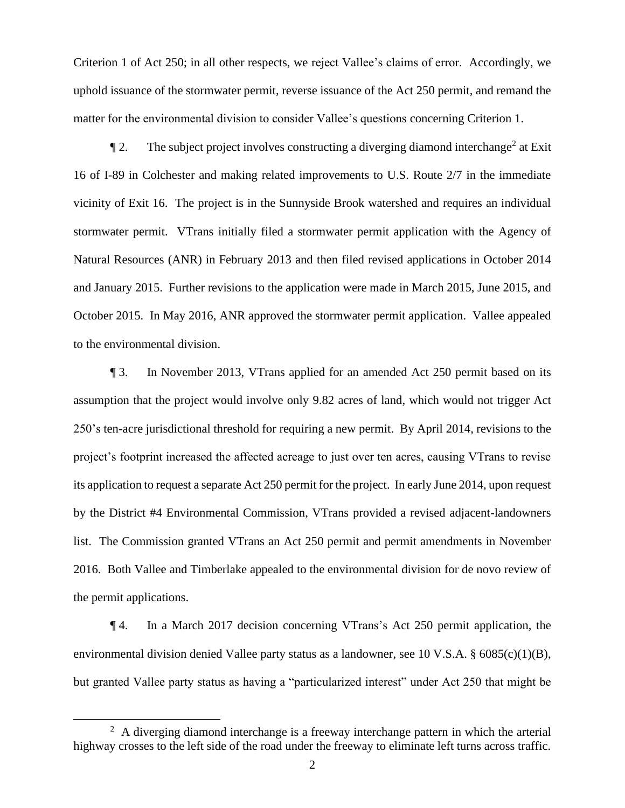Criterion 1 of Act 250; in all other respects, we reject Vallee's claims of error. Accordingly, we uphold issuance of the stormwater permit, reverse issuance of the Act 250 permit, and remand the matter for the environmental division to consider Vallee's questions concerning Criterion 1.

 $\P$  2. The subject project involves constructing a diverging diamond interchange<sup>2</sup> at Exit 16 of I-89 in Colchester and making related improvements to U.S. Route 2/7 in the immediate vicinity of Exit 16. The project is in the Sunnyside Brook watershed and requires an individual stormwater permit. VTrans initially filed a stormwater permit application with the Agency of Natural Resources (ANR) in February 2013 and then filed revised applications in October 2014 and January 2015. Further revisions to the application were made in March 2015, June 2015, and October 2015. In May 2016, ANR approved the stormwater permit application. Vallee appealed to the environmental division.

¶ 3. In November 2013, VTrans applied for an amended Act 250 permit based on its assumption that the project would involve only 9.82 acres of land, which would not trigger Act 250's ten-acre jurisdictional threshold for requiring a new permit. By April 2014, revisions to the project's footprint increased the affected acreage to just over ten acres, causing VTrans to revise its application to request a separate Act 250 permit for the project. In early June 2014, upon request by the District #4 Environmental Commission, VTrans provided a revised adjacent-landowners list. The Commission granted VTrans an Act 250 permit and permit amendments in November 2016. Both Vallee and Timberlake appealed to the environmental division for de novo review of the permit applications.

¶ 4. In a March 2017 decision concerning VTrans's Act 250 permit application, the environmental division denied Vallee party status as a landowner, see 10 V.S.A. § 6085(c)(1)(B), but granted Vallee party status as having a "particularized interest" under Act 250 that might be

 $2$  A diverging diamond interchange is a freeway interchange pattern in which the arterial highway crosses to the left side of the road under the freeway to eliminate left turns across traffic.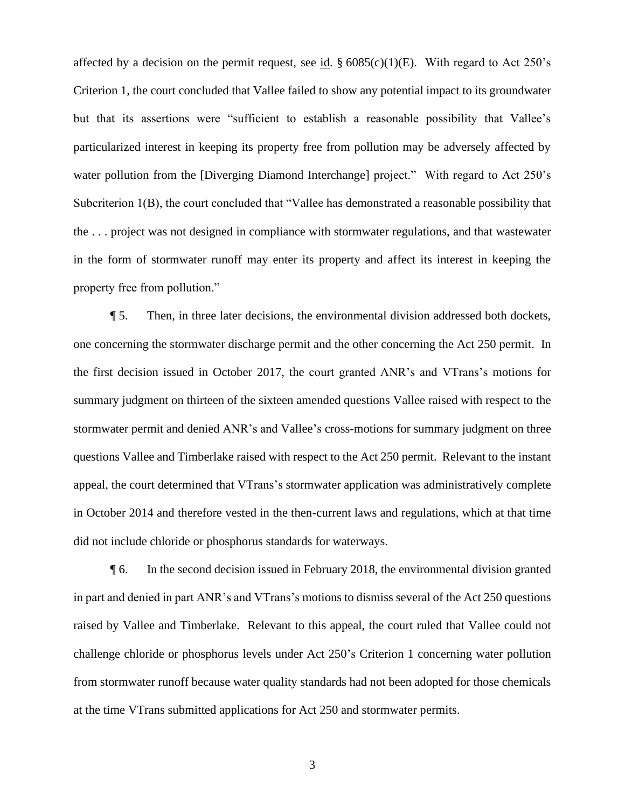affected by a decision on the permit request, see id.  $\S 6085(c)(1)(E)$ . With regard to Act 250's Criterion 1, the court concluded that Vallee failed to show any potential impact to its groundwater but that its assertions were "sufficient to establish a reasonable possibility that Vallee's particularized interest in keeping its property free from pollution may be adversely affected by water pollution from the [Diverging Diamond Interchange] project." With regard to Act 250's Subcriterion 1(B), the court concluded that "Vallee has demonstrated a reasonable possibility that the . . . project was not designed in compliance with stormwater regulations, and that wastewater in the form of stormwater runoff may enter its property and affect its interest in keeping the property free from pollution."

¶ 5. Then, in three later decisions, the environmental division addressed both dockets, one concerning the stormwater discharge permit and the other concerning the Act 250 permit. In the first decision issued in October 2017, the court granted ANR's and VTrans's motions for summary judgment on thirteen of the sixteen amended questions Vallee raised with respect to the stormwater permit and denied ANR's and Vallee's cross-motions for summary judgment on three questions Vallee and Timberlake raised with respect to the Act 250 permit. Relevant to the instant appeal, the court determined that VTrans's stormwater application was administratively complete in October 2014 and therefore vested in the then-current laws and regulations, which at that time did not include chloride or phosphorus standards for waterways.

¶ 6. In the second decision issued in February 2018, the environmental division granted in part and denied in part ANR's and VTrans's motions to dismiss several of the Act 250 questions raised by Vallee and Timberlake. Relevant to this appeal, the court ruled that Vallee could not challenge chloride or phosphorus levels under Act 250's Criterion 1 concerning water pollution from stormwater runoff because water quality standards had not been adopted for those chemicals at the time VTrans submitted applications for Act 250 and stormwater permits.

3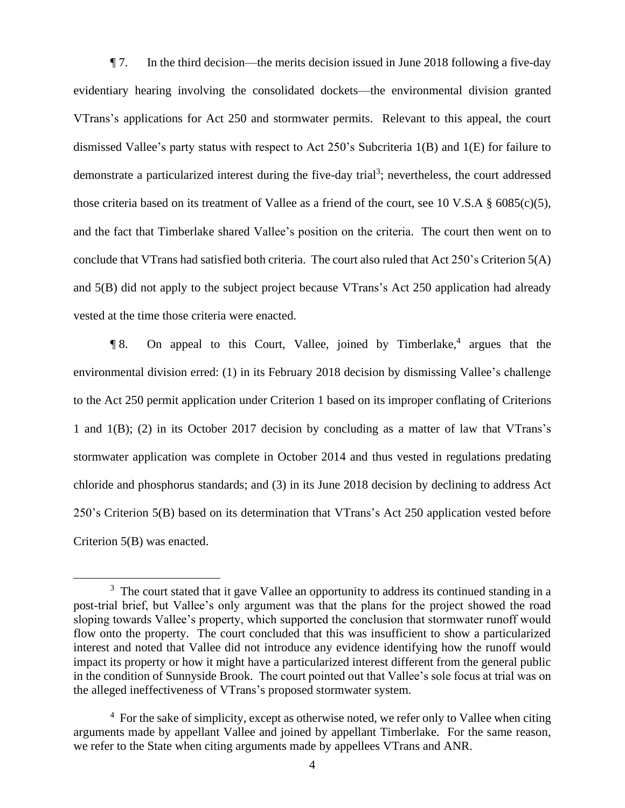¶ 7. In the third decision—the merits decision issued in June 2018 following a five-day evidentiary hearing involving the consolidated dockets—the environmental division granted VTrans's applications for Act 250 and stormwater permits. Relevant to this appeal, the court dismissed Vallee's party status with respect to Act 250's Subcriteria 1(B) and 1(E) for failure to demonstrate a particularized interest during the five-day trial<sup>3</sup>; nevertheless, the court addressed those criteria based on its treatment of Vallee as a friend of the court, see 10 V.S.A § 6085(c)(5), and the fact that Timberlake shared Vallee's position on the criteria. The court then went on to conclude that VTrans had satisfied both criteria. The court also ruled that Act 250's Criterion 5(A) and 5(B) did not apply to the subject project because VTrans's Act 250 application had already vested at the time those criteria were enacted.

¶ 8. On appeal to this Court, Vallee, joined by Timberlake,<sup>4</sup> argues that the environmental division erred: (1) in its February 2018 decision by dismissing Vallee's challenge to the Act 250 permit application under Criterion 1 based on its improper conflating of Criterions 1 and 1(B); (2) in its October 2017 decision by concluding as a matter of law that VTrans's stormwater application was complete in October 2014 and thus vested in regulations predating chloride and phosphorus standards; and (3) in its June 2018 decision by declining to address Act 250's Criterion 5(B) based on its determination that VTrans's Act 250 application vested before Criterion 5(B) was enacted.

 $3$  The court stated that it gave Vallee an opportunity to address its continued standing in a post-trial brief, but Vallee's only argument was that the plans for the project showed the road sloping towards Vallee's property, which supported the conclusion that stormwater runoff would flow onto the property. The court concluded that this was insufficient to show a particularized interest and noted that Vallee did not introduce any evidence identifying how the runoff would impact its property or how it might have a particularized interest different from the general public in the condition of Sunnyside Brook. The court pointed out that Vallee's sole focus at trial was on the alleged ineffectiveness of VTrans's proposed stormwater system.

 $4\,$  For the sake of simplicity, except as otherwise noted, we refer only to Vallee when citing arguments made by appellant Vallee and joined by appellant Timberlake. For the same reason, we refer to the State when citing arguments made by appellees VTrans and ANR.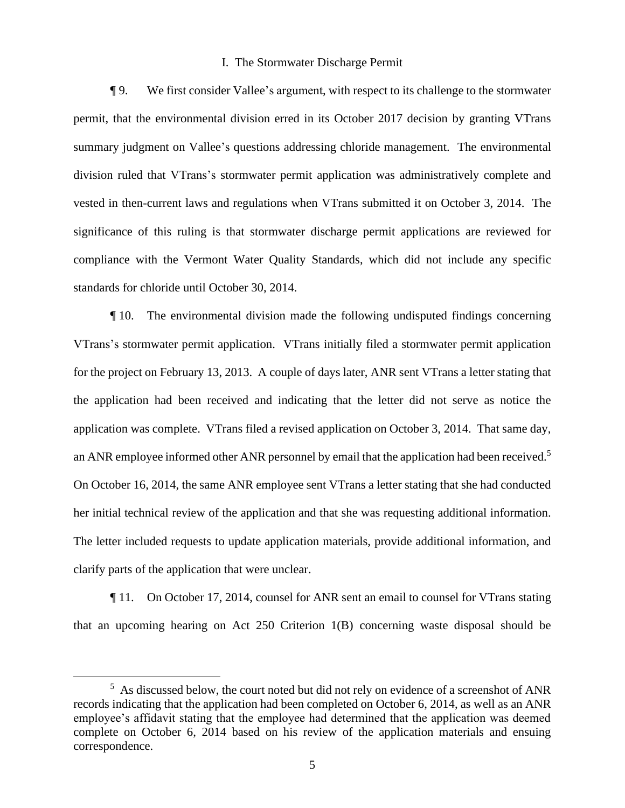### I. The Stormwater Discharge Permit

¶ 9. We first consider Vallee's argument, with respect to its challenge to the stormwater permit, that the environmental division erred in its October 2017 decision by granting VTrans summary judgment on Vallee's questions addressing chloride management. The environmental division ruled that VTrans's stormwater permit application was administratively complete and vested in then-current laws and regulations when VTrans submitted it on October 3, 2014. The significance of this ruling is that stormwater discharge permit applications are reviewed for compliance with the Vermont Water Quality Standards, which did not include any specific standards for chloride until October 30, 2014.

¶ 10. The environmental division made the following undisputed findings concerning VTrans's stormwater permit application. VTrans initially filed a stormwater permit application for the project on February 13, 2013. A couple of days later, ANR sent VTrans a letter stating that the application had been received and indicating that the letter did not serve as notice the application was complete. VTrans filed a revised application on October 3, 2014. That same day, an ANR employee informed other ANR personnel by email that the application had been received.<sup>5</sup> On October 16, 2014, the same ANR employee sent VTrans a letter stating that she had conducted her initial technical review of the application and that she was requesting additional information. The letter included requests to update application materials, provide additional information, and clarify parts of the application that were unclear.

¶ 11. On October 17, 2014, counsel for ANR sent an email to counsel for VTrans stating that an upcoming hearing on Act 250 Criterion 1(B) concerning waste disposal should be

<sup>&</sup>lt;sup>5</sup> As discussed below, the court noted but did not rely on evidence of a screenshot of ANR records indicating that the application had been completed on October 6, 2014, as well as an ANR employee's affidavit stating that the employee had determined that the application was deemed complete on October 6, 2014 based on his review of the application materials and ensuing correspondence.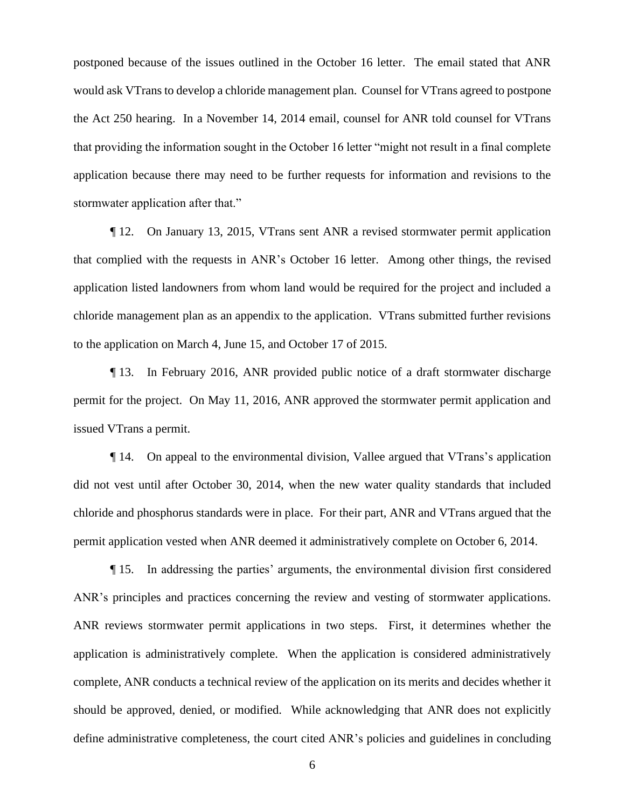postponed because of the issues outlined in the October 16 letter. The email stated that ANR would ask VTrans to develop a chloride management plan. Counsel for VTrans agreed to postpone the Act 250 hearing. In a November 14, 2014 email, counsel for ANR told counsel for VTrans that providing the information sought in the October 16 letter "might not result in a final complete application because there may need to be further requests for information and revisions to the stormwater application after that."

¶ 12. On January 13, 2015, VTrans sent ANR a revised stormwater permit application that complied with the requests in ANR's October 16 letter. Among other things, the revised application listed landowners from whom land would be required for the project and included a chloride management plan as an appendix to the application. VTrans submitted further revisions to the application on March 4, June 15, and October 17 of 2015.

¶ 13. In February 2016, ANR provided public notice of a draft stormwater discharge permit for the project. On May 11, 2016, ANR approved the stormwater permit application and issued VTrans a permit.

¶ 14. On appeal to the environmental division, Vallee argued that VTrans's application did not vest until after October 30, 2014, when the new water quality standards that included chloride and phosphorus standards were in place. For their part, ANR and VTrans argued that the permit application vested when ANR deemed it administratively complete on October 6, 2014.

¶ 15. In addressing the parties' arguments, the environmental division first considered ANR's principles and practices concerning the review and vesting of stormwater applications. ANR reviews stormwater permit applications in two steps. First, it determines whether the application is administratively complete. When the application is considered administratively complete, ANR conducts a technical review of the application on its merits and decides whether it should be approved, denied, or modified. While acknowledging that ANR does not explicitly define administrative completeness, the court cited ANR's policies and guidelines in concluding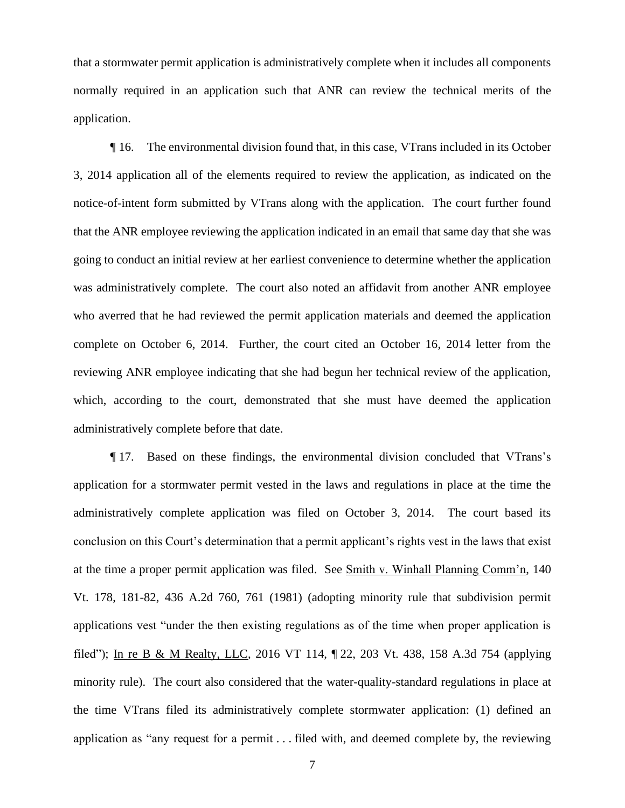that a stormwater permit application is administratively complete when it includes all components normally required in an application such that ANR can review the technical merits of the application.

¶ 16. The environmental division found that, in this case, VTrans included in its October 3, 2014 application all of the elements required to review the application, as indicated on the notice-of-intent form submitted by VTrans along with the application. The court further found that the ANR employee reviewing the application indicated in an email that same day that she was going to conduct an initial review at her earliest convenience to determine whether the application was administratively complete. The court also noted an affidavit from another ANR employee who averred that he had reviewed the permit application materials and deemed the application complete on October 6, 2014. Further, the court cited an October 16, 2014 letter from the reviewing ANR employee indicating that she had begun her technical review of the application, which, according to the court, demonstrated that she must have deemed the application administratively complete before that date.

¶ 17. Based on these findings, the environmental division concluded that VTrans's application for a stormwater permit vested in the laws and regulations in place at the time the administratively complete application was filed on October 3, 2014. The court based its conclusion on this Court's determination that a permit applicant's rights vest in the laws that exist at the time a proper permit application was filed. See Smith v. Winhall Planning Comm'n, 140 Vt. 178, 181-82, 436 A.2d 760, 761 (1981) (adopting minority rule that subdivision permit applications vest "under the then existing regulations as of the time when proper application is filed"); In re B & M Realty, LLC, 2016 VT 114, ¶ 22, 203 Vt. 438, 158 A.3d 754 (applying minority rule). The court also considered that the water-quality-standard regulations in place at the time VTrans filed its administratively complete stormwater application: (1) defined an application as "any request for a permit . . . filed with, and deemed complete by, the reviewing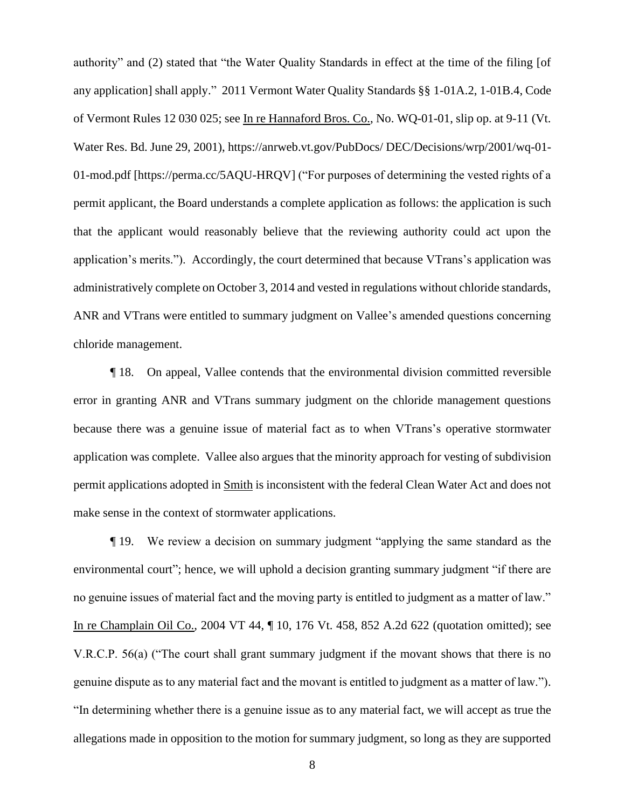authority" and (2) stated that "the Water Quality Standards in effect at the time of the filing [of any application] shall apply." 2011 Vermont Water Quality Standards §§ 1-01A.2, 1-01B.4, Code of Vermont Rules 12 030 025; see In re Hannaford Bros. Co., No. WQ-01-01, slip op. at 9-11 (Vt. Water Res. Bd. June 29, 2001), https://anrweb.vt.gov/PubDocs/ DEC/Decisions/wrp/2001/wq-01- 01-mod.pdf [https://perma.cc/5AQU-HRQV] ("For purposes of determining the vested rights of a permit applicant, the Board understands a complete application as follows: the application is such that the applicant would reasonably believe that the reviewing authority could act upon the application's merits."). Accordingly, the court determined that because VTrans's application was administratively complete on October 3, 2014 and vested in regulations without chloride standards, ANR and VTrans were entitled to summary judgment on Vallee's amended questions concerning chloride management.

¶ 18. On appeal, Vallee contends that the environmental division committed reversible error in granting ANR and VTrans summary judgment on the chloride management questions because there was a genuine issue of material fact as to when VTrans's operative stormwater application was complete. Vallee also argues that the minority approach for vesting of subdivision permit applications adopted in Smith is inconsistent with the federal Clean Water Act and does not make sense in the context of stormwater applications.

¶ 19. We review a decision on summary judgment "applying the same standard as the environmental court"; hence, we will uphold a decision granting summary judgment "if there are no genuine issues of material fact and the moving party is entitled to judgment as a matter of law." In re Champlain Oil Co., 2004 VT 44, ¶ 10, 176 Vt. 458, 852 A.2d 622 (quotation omitted); see V.R.C.P. 56(a) ("The court shall grant summary judgment if the movant shows that there is no genuine dispute as to any material fact and the movant is entitled to judgment as a matter of law."). "In determining whether there is a genuine issue as to any material fact, we will accept as true the allegations made in opposition to the motion for summary judgment, so long as they are supported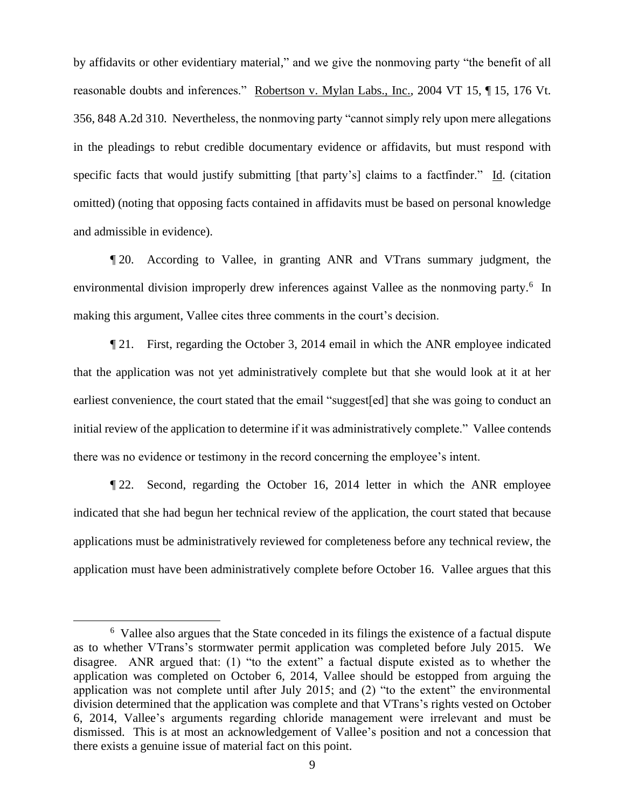by affidavits or other evidentiary material," and we give the nonmoving party "the benefit of all reasonable doubts and inferences." Robertson v. Mylan Labs., Inc., 2004 VT 15, ¶ 15, 176 Vt. 356, 848 A.2d 310. Nevertheless, the nonmoving party "cannot simply rely upon mere allegations in the pleadings to rebut credible documentary evidence or affidavits, but must respond with specific facts that would justify submitting [that party's] claims to a factfinder." Id. (citation omitted) (noting that opposing facts contained in affidavits must be based on personal knowledge and admissible in evidence).

¶ 20. According to Vallee, in granting ANR and VTrans summary judgment, the environmental division improperly drew inferences against Vallee as the nonmoving party.<sup>6</sup> In making this argument, Vallee cites three comments in the court's decision.

¶ 21. First, regarding the October 3, 2014 email in which the ANR employee indicated that the application was not yet administratively complete but that she would look at it at her earliest convenience, the court stated that the email "suggest[ed] that she was going to conduct an initial review of the application to determine if it was administratively complete." Vallee contends there was no evidence or testimony in the record concerning the employee's intent.

¶ 22. Second, regarding the October 16, 2014 letter in which the ANR employee indicated that she had begun her technical review of the application, the court stated that because applications must be administratively reviewed for completeness before any technical review, the application must have been administratively complete before October 16. Vallee argues that this

<sup>&</sup>lt;sup>6</sup> Vallee also argues that the State conceded in its filings the existence of a factual dispute as to whether VTrans's stormwater permit application was completed before July 2015. We disagree. ANR argued that: (1) "to the extent" a factual dispute existed as to whether the application was completed on October 6, 2014, Vallee should be estopped from arguing the application was not complete until after July 2015; and (2) "to the extent" the environmental division determined that the application was complete and that VTrans's rights vested on October 6, 2014, Vallee's arguments regarding chloride management were irrelevant and must be dismissed. This is at most an acknowledgement of Vallee's position and not a concession that there exists a genuine issue of material fact on this point.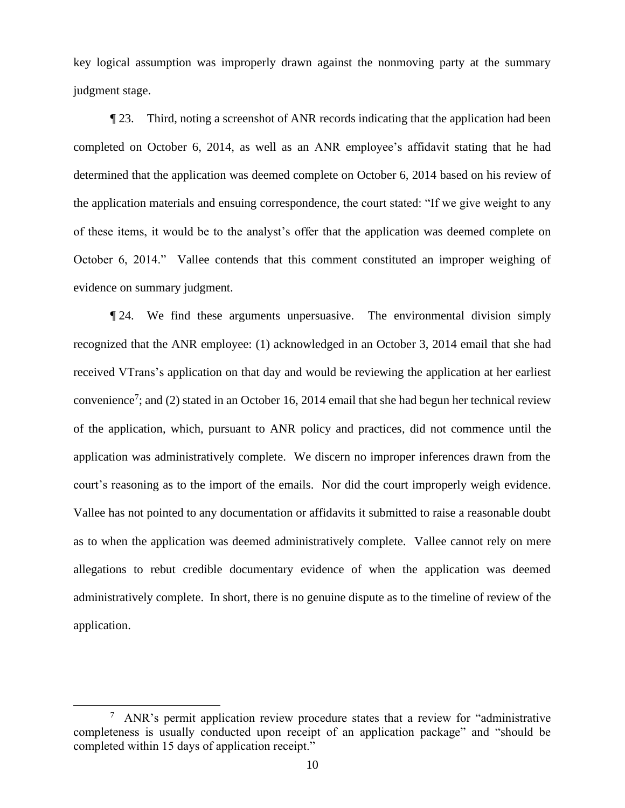key logical assumption was improperly drawn against the nonmoving party at the summary judgment stage.

¶ 23. Third, noting a screenshot of ANR records indicating that the application had been completed on October 6, 2014, as well as an ANR employee's affidavit stating that he had determined that the application was deemed complete on October 6, 2014 based on his review of the application materials and ensuing correspondence, the court stated: "If we give weight to any of these items, it would be to the analyst's offer that the application was deemed complete on October 6, 2014." Vallee contends that this comment constituted an improper weighing of evidence on summary judgment.

¶ 24. We find these arguments unpersuasive. The environmental division simply recognized that the ANR employee: (1) acknowledged in an October 3, 2014 email that she had received VTrans's application on that day and would be reviewing the application at her earliest convenience<sup>7</sup>; and (2) stated in an October 16, 2014 email that she had begun her technical review of the application, which, pursuant to ANR policy and practices, did not commence until the application was administratively complete. We discern no improper inferences drawn from the court's reasoning as to the import of the emails. Nor did the court improperly weigh evidence. Vallee has not pointed to any documentation or affidavits it submitted to raise a reasonable doubt as to when the application was deemed administratively complete. Vallee cannot rely on mere allegations to rebut credible documentary evidence of when the application was deemed administratively complete. In short, there is no genuine dispute as to the timeline of review of the application.

 $7$  ANR's permit application review procedure states that a review for "administrative" completeness is usually conducted upon receipt of an application package" and "should be completed within 15 days of application receipt."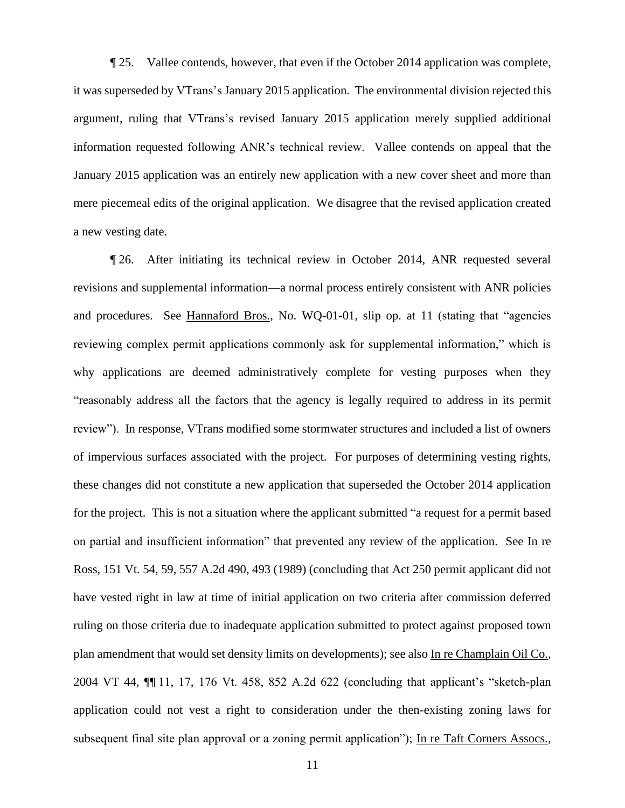¶ 25. Vallee contends, however, that even if the October 2014 application was complete, it was superseded by VTrans's January 2015 application. The environmental division rejected this argument, ruling that VTrans's revised January 2015 application merely supplied additional information requested following ANR's technical review. Vallee contends on appeal that the January 2015 application was an entirely new application with a new cover sheet and more than mere piecemeal edits of the original application. We disagree that the revised application created a new vesting date.

¶ 26. After initiating its technical review in October 2014, ANR requested several revisions and supplemental information—a normal process entirely consistent with ANR policies and procedures. See Hannaford Bros., No. WQ-01-01, slip op. at 11 (stating that "agencies reviewing complex permit applications commonly ask for supplemental information," which is why applications are deemed administratively complete for vesting purposes when they "reasonably address all the factors that the agency is legally required to address in its permit review"). In response, VTrans modified some stormwater structures and included a list of owners of impervious surfaces associated with the project. For purposes of determining vesting rights, these changes did not constitute a new application that superseded the October 2014 application for the project. This is not a situation where the applicant submitted "a request for a permit based on partial and insufficient information" that prevented any review of the application. See In re Ross, 151 Vt. 54, 59, 557 A.2d 490, 493 (1989) (concluding that Act 250 permit applicant did not have vested right in law at time of initial application on two criteria after commission deferred ruling on those criteria due to inadequate application submitted to protect against proposed town plan amendment that would set density limits on developments); see also In re Champlain Oil Co., 2004 VT 44, ¶¶ 11, 17, 176 Vt. 458, 852 A.2d 622 (concluding that applicant's "sketch-plan application could not vest a right to consideration under the then-existing zoning laws for subsequent final site plan approval or a zoning permit application"); In re Taft Corners Assocs.,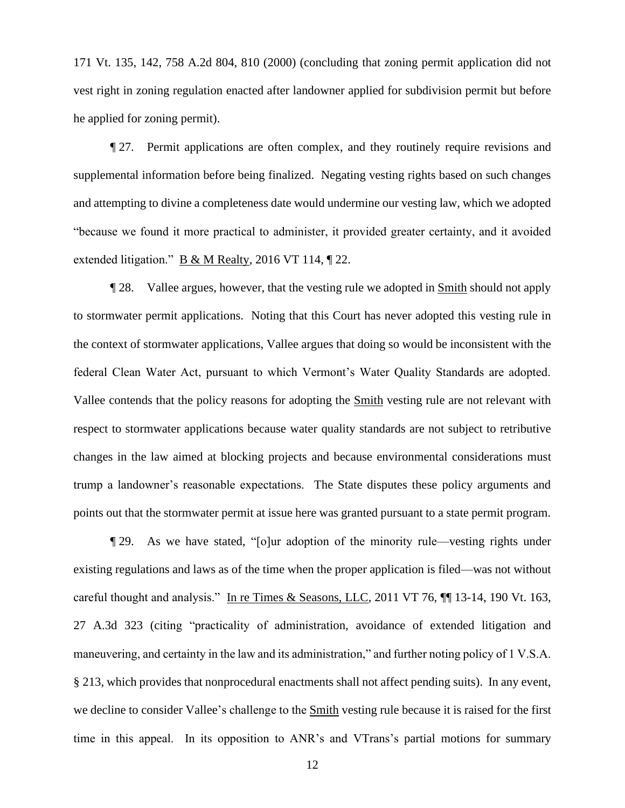171 Vt. 135, 142, 758 A.2d 804, 810 (2000) (concluding that zoning permit application did not vest right in zoning regulation enacted after landowner applied for subdivision permit but before he applied for zoning permit).

¶ 27. Permit applications are often complex, and they routinely require revisions and supplemental information before being finalized. Negating vesting rights based on such changes and attempting to divine a completeness date would undermine our vesting law, which we adopted "because we found it more practical to administer, it provided greater certainty, and it avoided extended litigation." B & M Realty, 2016 VT 114, ¶ 22.

¶ 28. Vallee argues, however, that the vesting rule we adopted in Smith should not apply to stormwater permit applications. Noting that this Court has never adopted this vesting rule in the context of stormwater applications, Vallee argues that doing so would be inconsistent with the federal Clean Water Act, pursuant to which Vermont's Water Quality Standards are adopted. Vallee contends that the policy reasons for adopting the Smith vesting rule are not relevant with respect to stormwater applications because water quality standards are not subject to retributive changes in the law aimed at blocking projects and because environmental considerations must trump a landowner's reasonable expectations. The State disputes these policy arguments and points out that the stormwater permit at issue here was granted pursuant to a state permit program.

¶ 29. As we have stated, "[o]ur adoption of the minority rule—vesting rights under existing regulations and laws as of the time when the proper application is filed—was not without careful thought and analysis." In re Times & Seasons, LLC, 2011 VT 76, ¶¶ 13-14, 190 Vt. 163, 27 A.3d 323 (citing "practicality of administration, avoidance of extended litigation and maneuvering, and certainty in the law and its administration," and further noting policy of 1 V.S.A. § 213, which provides that nonprocedural enactments shall not affect pending suits). In any event, we decline to consider Vallee's challenge to the Smith vesting rule because it is raised for the first time in this appeal. In its opposition to ANR's and VTrans's partial motions for summary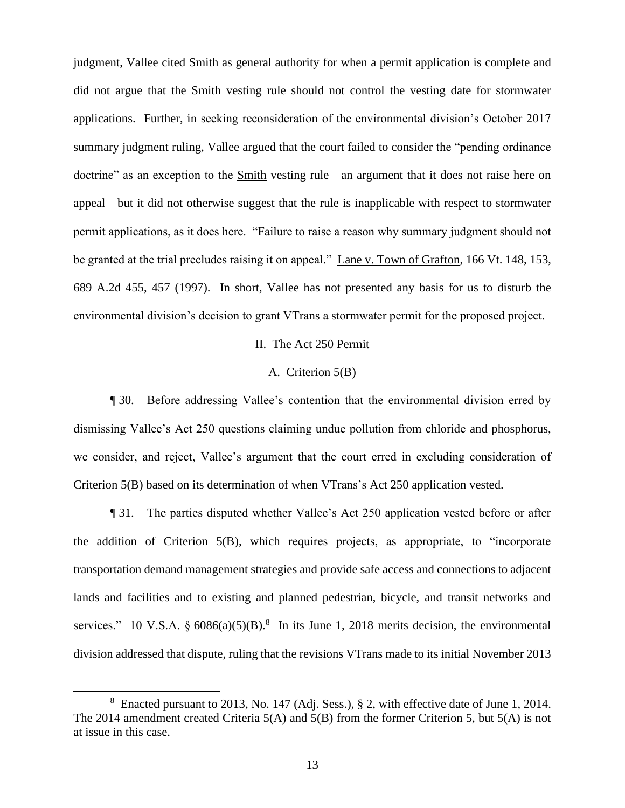judgment, Vallee cited Smith as general authority for when a permit application is complete and did not argue that the Smith vesting rule should not control the vesting date for stormwater applications. Further, in seeking reconsideration of the environmental division's October 2017 summary judgment ruling, Vallee argued that the court failed to consider the "pending ordinance doctrine" as an exception to the Smith vesting rule—an argument that it does not raise here on appeal—but it did not otherwise suggest that the rule is inapplicable with respect to stormwater permit applications, as it does here. "Failure to raise a reason why summary judgment should not be granted at the trial precludes raising it on appeal." Lane v. Town of Grafton, 166 Vt. 148, 153, 689 A.2d 455, 457 (1997). In short, Vallee has not presented any basis for us to disturb the environmental division's decision to grant VTrans a stormwater permit for the proposed project.

# II. The Act 250 Permit

### A. Criterion 5(B)

¶ 30. Before addressing Vallee's contention that the environmental division erred by dismissing Vallee's Act 250 questions claiming undue pollution from chloride and phosphorus, we consider, and reject, Vallee's argument that the court erred in excluding consideration of Criterion 5(B) based on its determination of when VTrans's Act 250 application vested.

¶ 31. The parties disputed whether Vallee's Act 250 application vested before or after the addition of Criterion 5(B), which requires projects, as appropriate, to "incorporate transportation demand management strategies and provide safe access and connections to adjacent lands and facilities and to existing and planned pedestrian, bicycle, and transit networks and services." 10 V.S.A.  $\S 6086(a)(5)(B)$ .<sup>8</sup> In its June 1, 2018 merits decision, the environmental division addressed that dispute, ruling that the revisions VTrans made to its initial November 2013

<sup>&</sup>lt;sup>8</sup> Enacted pursuant to 2013, No. 147 (Adj. Sess.), § 2, with effective date of June 1, 2014. The 2014 amendment created Criteria 5(A) and 5(B) from the former Criterion 5, but 5(A) is not at issue in this case.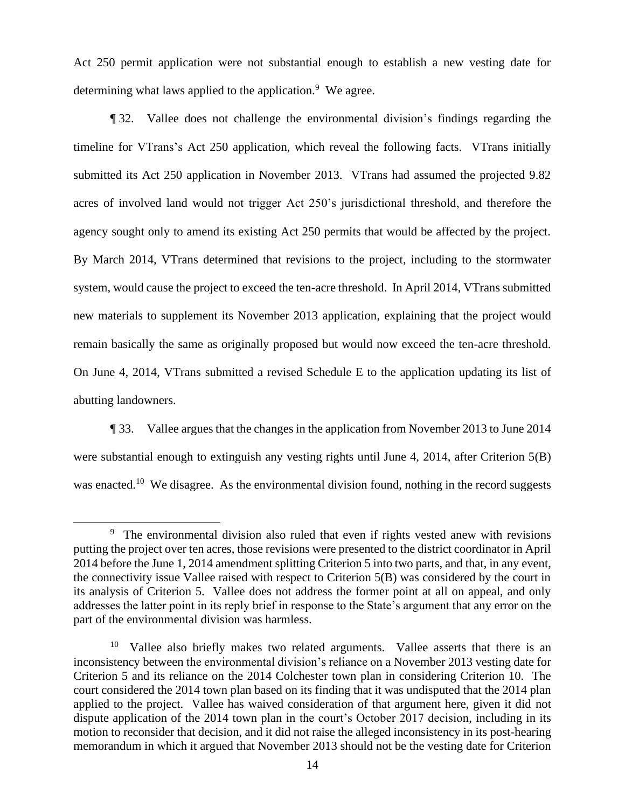Act 250 permit application were not substantial enough to establish a new vesting date for determining what laws applied to the application.<sup>9</sup> We agree.

¶ 32. Vallee does not challenge the environmental division's findings regarding the timeline for VTrans's Act 250 application, which reveal the following facts. VTrans initially submitted its Act 250 application in November 2013. VTrans had assumed the projected 9.82 acres of involved land would not trigger Act 250's jurisdictional threshold, and therefore the agency sought only to amend its existing Act 250 permits that would be affected by the project. By March 2014, VTrans determined that revisions to the project, including to the stormwater system, would cause the project to exceed the ten-acre threshold. In April 2014, VTrans submitted new materials to supplement its November 2013 application, explaining that the project would remain basically the same as originally proposed but would now exceed the ten-acre threshold. On June 4, 2014, VTrans submitted a revised Schedule E to the application updating its list of abutting landowners.

¶ 33. Vallee argues that the changes in the application from November 2013 to June 2014 were substantial enough to extinguish any vesting rights until June 4, 2014, after Criterion 5(B) was enacted.<sup>10</sup> We disagree. As the environmental division found, nothing in the record suggests

<sup>&</sup>lt;sup>9</sup> The environmental division also ruled that even if rights vested anew with revisions putting the project over ten acres, those revisions were presented to the district coordinator in April 2014 before the June 1, 2014 amendment splitting Criterion 5 into two parts, and that, in any event, the connectivity issue Vallee raised with respect to Criterion 5(B) was considered by the court in its analysis of Criterion 5. Vallee does not address the former point at all on appeal, and only addresses the latter point in its reply brief in response to the State's argument that any error on the part of the environmental division was harmless.

<sup>&</sup>lt;sup>10</sup> Vallee also briefly makes two related arguments. Vallee asserts that there is an inconsistency between the environmental division's reliance on a November 2013 vesting date for Criterion 5 and its reliance on the 2014 Colchester town plan in considering Criterion 10. The court considered the 2014 town plan based on its finding that it was undisputed that the 2014 plan applied to the project. Vallee has waived consideration of that argument here, given it did not dispute application of the 2014 town plan in the court's October 2017 decision, including in its motion to reconsider that decision, and it did not raise the alleged inconsistency in its post-hearing memorandum in which it argued that November 2013 should not be the vesting date for Criterion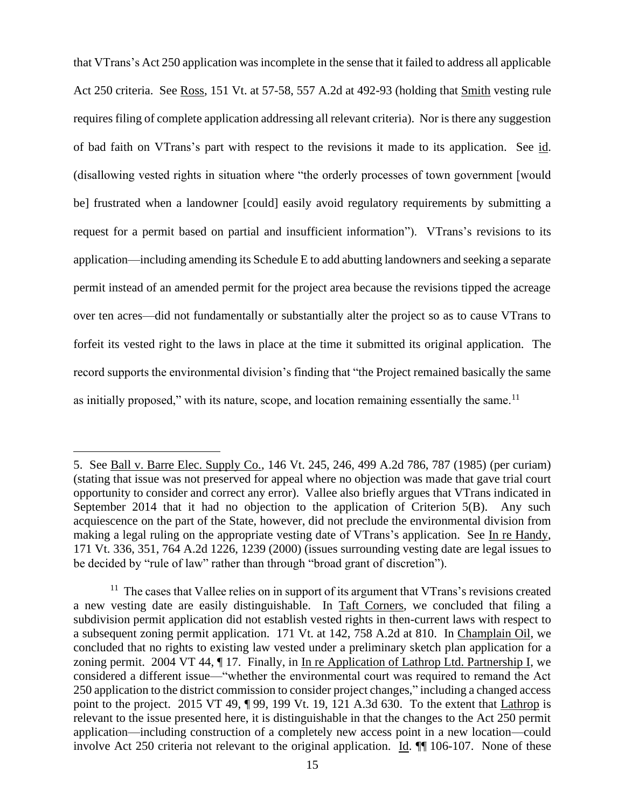that VTrans's Act 250 application was incomplete in the sense that it failed to address all applicable Act 250 criteria. See Ross, 151 Vt. at 57-58, 557 A.2d at 492-93 (holding that Smith vesting rule requires filing of complete application addressing all relevant criteria). Nor is there any suggestion of bad faith on VTrans's part with respect to the revisions it made to its application. See id. (disallowing vested rights in situation where "the orderly processes of town government [would be] frustrated when a landowner [could] easily avoid regulatory requirements by submitting a request for a permit based on partial and insufficient information"). VTrans's revisions to its application—including amending its Schedule E to add abutting landowners and seeking a separate permit instead of an amended permit for the project area because the revisions tipped the acreage over ten acres—did not fundamentally or substantially alter the project so as to cause VTrans to forfeit its vested right to the laws in place at the time it submitted its original application. The record supports the environmental division's finding that "the Project remained basically the same as initially proposed," with its nature, scope, and location remaining essentially the same.<sup>11</sup>

<sup>5.</sup> See Ball v. Barre Elec. Supply Co., 146 Vt. 245, 246, 499 A.2d 786, 787 (1985) (per curiam) (stating that issue was not preserved for appeal where no objection was made that gave trial court opportunity to consider and correct any error). Vallee also briefly argues that VTrans indicated in September 2014 that it had no objection to the application of Criterion 5(B). Any such acquiescence on the part of the State, however, did not preclude the environmental division from making a legal ruling on the appropriate vesting date of VTrans's application. See In re Handy, 171 Vt. 336, 351, 764 A.2d 1226, 1239 (2000) (issues surrounding vesting date are legal issues to be decided by "rule of law" rather than through "broad grant of discretion").

<sup>&</sup>lt;sup>11</sup> The cases that Vallee relies on in support of its argument that VTrans's revisions created a new vesting date are easily distinguishable. In Taft Corners, we concluded that filing a subdivision permit application did not establish vested rights in then-current laws with respect to a subsequent zoning permit application. 171 Vt. at 142, 758 A.2d at 810. In Champlain Oil, we concluded that no rights to existing law vested under a preliminary sketch plan application for a zoning permit. 2004 VT 44, ¶ 17. Finally, in In re Application of Lathrop Ltd. Partnership I, we considered a different issue—"whether the environmental court was required to remand the Act 250 application to the district commission to consider project changes," including a changed access point to the project. 2015 VT 49, ¶ 99, 199 Vt. 19, 121 A.3d 630. To the extent that Lathrop is relevant to the issue presented here, it is distinguishable in that the changes to the Act 250 permit application—including construction of a completely new access point in a new location—could involve Act 250 criteria not relevant to the original application. Id. ¶¶ 106-107. None of these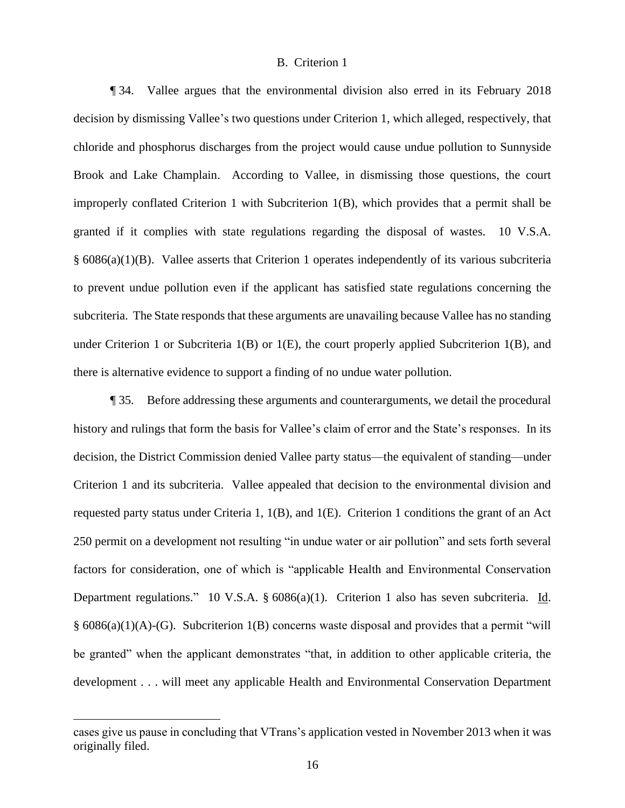### B. Criterion 1

¶ 34. Vallee argues that the environmental division also erred in its February 2018 decision by dismissing Vallee's two questions under Criterion 1, which alleged, respectively, that chloride and phosphorus discharges from the project would cause undue pollution to Sunnyside Brook and Lake Champlain. According to Vallee, in dismissing those questions, the court improperly conflated Criterion 1 with Subcriterion 1(B), which provides that a permit shall be granted if it complies with state regulations regarding the disposal of wastes. 10 V.S.A. § 6086(a)(1)(B). Vallee asserts that Criterion 1 operates independently of its various subcriteria to prevent undue pollution even if the applicant has satisfied state regulations concerning the subcriteria. The State responds that these arguments are unavailing because Vallee has no standing under Criterion 1 or Subcriteria  $1(B)$  or  $1(E)$ , the court properly applied Subcriterion  $1(B)$ , and there is alternative evidence to support a finding of no undue water pollution.

¶ 35. Before addressing these arguments and counterarguments, we detail the procedural history and rulings that form the basis for Vallee's claim of error and the State's responses. In its decision, the District Commission denied Vallee party status—the equivalent of standing—under Criterion 1 and its subcriteria. Vallee appealed that decision to the environmental division and requested party status under Criteria 1, 1(B), and 1(E). Criterion 1 conditions the grant of an Act 250 permit on a development not resulting "in undue water or air pollution" and sets forth several factors for consideration, one of which is "applicable Health and Environmental Conservation Department regulations." 10 V.S.A. § 6086(a)(1). Criterion 1 also has seven subcriteria. Id. § 6086(a)(1)(A)-(G). Subcriterion 1(B) concerns waste disposal and provides that a permit "will be granted" when the applicant demonstrates "that, in addition to other applicable criteria, the development . . . will meet any applicable Health and Environmental Conservation Department

cases give us pause in concluding that VTrans's application vested in November 2013 when it was originally filed.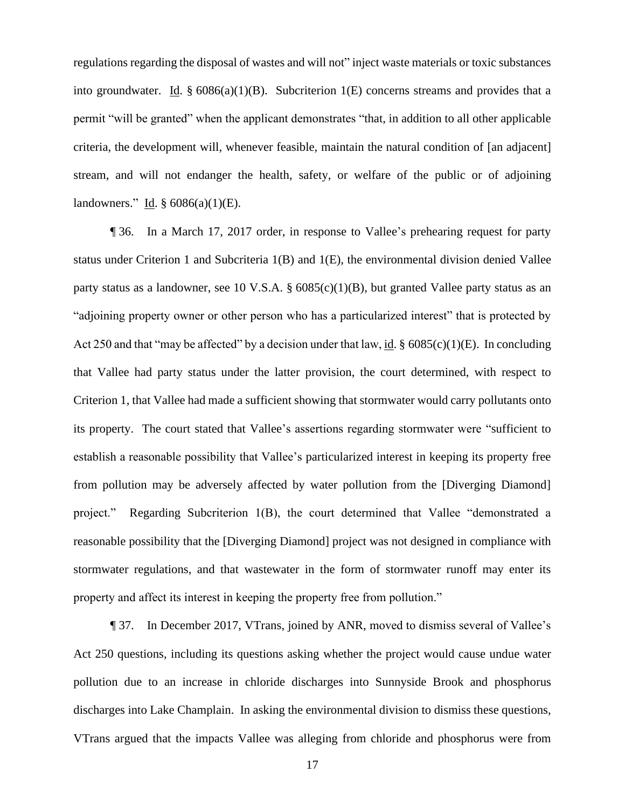regulations regarding the disposal of wastes and will not" inject waste materials or toxic substances into groundwater. Id.  $\S 6086(a)(1)(B)$ . Subcriterion 1(E) concerns streams and provides that a permit "will be granted" when the applicant demonstrates "that, in addition to all other applicable criteria, the development will, whenever feasible, maintain the natural condition of [an adjacent] stream, and will not endanger the health, safety, or welfare of the public or of adjoining landowners." Id.  $\S$  6086(a)(1)(E).

¶ 36. In a March 17, 2017 order, in response to Vallee's prehearing request for party status under Criterion 1 and Subcriteria 1(B) and 1(E), the environmental division denied Vallee party status as a landowner, see 10 V.S.A. § 6085(c)(1)(B), but granted Vallee party status as an "adjoining property owner or other person who has a particularized interest" that is protected by Act 250 and that "may be affected" by a decision under that law, id.  $\S$  6085(c)(1)(E). In concluding that Vallee had party status under the latter provision, the court determined, with respect to Criterion 1, that Vallee had made a sufficient showing that stormwater would carry pollutants onto its property. The court stated that Vallee's assertions regarding stormwater were "sufficient to establish a reasonable possibility that Vallee's particularized interest in keeping its property free from pollution may be adversely affected by water pollution from the [Diverging Diamond] project." Regarding Subcriterion 1(B), the court determined that Vallee "demonstrated a reasonable possibility that the [Diverging Diamond] project was not designed in compliance with stormwater regulations, and that wastewater in the form of stormwater runoff may enter its property and affect its interest in keeping the property free from pollution."

¶ 37. In December 2017, VTrans, joined by ANR, moved to dismiss several of Vallee's Act 250 questions, including its questions asking whether the project would cause undue water pollution due to an increase in chloride discharges into Sunnyside Brook and phosphorus discharges into Lake Champlain. In asking the environmental division to dismiss these questions, VTrans argued that the impacts Vallee was alleging from chloride and phosphorus were from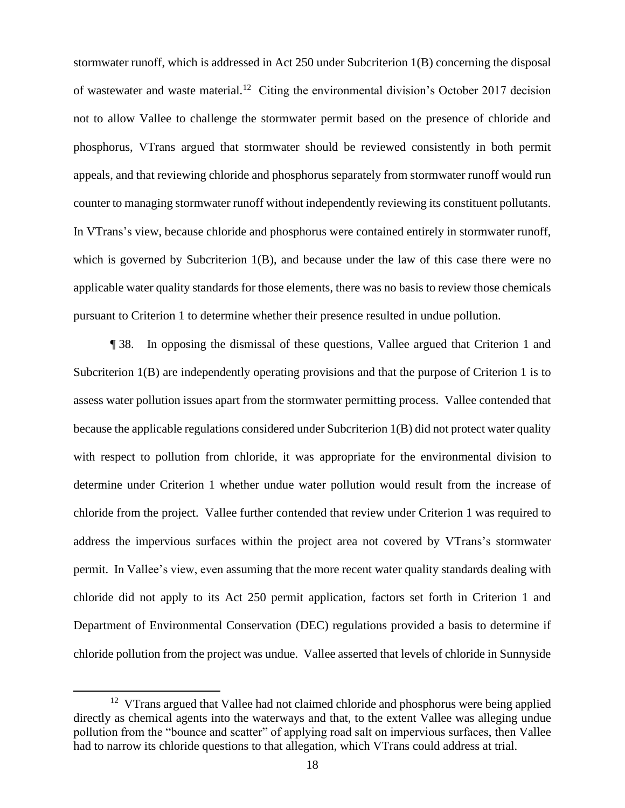stormwater runoff, which is addressed in Act 250 under Subcriterion 1(B) concerning the disposal of wastewater and waste material.<sup>12</sup> Citing the environmental division's October 2017 decision not to allow Vallee to challenge the stormwater permit based on the presence of chloride and phosphorus, VTrans argued that stormwater should be reviewed consistently in both permit appeals, and that reviewing chloride and phosphorus separately from stormwater runoff would run counter to managing stormwater runoff without independently reviewing its constituent pollutants. In VTrans's view, because chloride and phosphorus were contained entirely in stormwater runoff, which is governed by Subcriterion 1(B), and because under the law of this case there were no applicable water quality standards for those elements, there was no basis to review those chemicals pursuant to Criterion 1 to determine whether their presence resulted in undue pollution.

¶ 38. In opposing the dismissal of these questions, Vallee argued that Criterion 1 and Subcriterion 1(B) are independently operating provisions and that the purpose of Criterion 1 is to assess water pollution issues apart from the stormwater permitting process. Vallee contended that because the applicable regulations considered under Subcriterion 1(B) did not protect water quality with respect to pollution from chloride, it was appropriate for the environmental division to determine under Criterion 1 whether undue water pollution would result from the increase of chloride from the project. Vallee further contended that review under Criterion 1 was required to address the impervious surfaces within the project area not covered by VTrans's stormwater permit. In Vallee's view, even assuming that the more recent water quality standards dealing with chloride did not apply to its Act 250 permit application, factors set forth in Criterion 1 and Department of Environmental Conservation (DEC) regulations provided a basis to determine if chloride pollution from the project was undue. Vallee asserted that levels of chloride in Sunnyside

<sup>&</sup>lt;sup>12</sup> VTrans argued that Vallee had not claimed chloride and phosphorus were being applied directly as chemical agents into the waterways and that, to the extent Vallee was alleging undue pollution from the "bounce and scatter" of applying road salt on impervious surfaces, then Vallee had to narrow its chloride questions to that allegation, which VTrans could address at trial.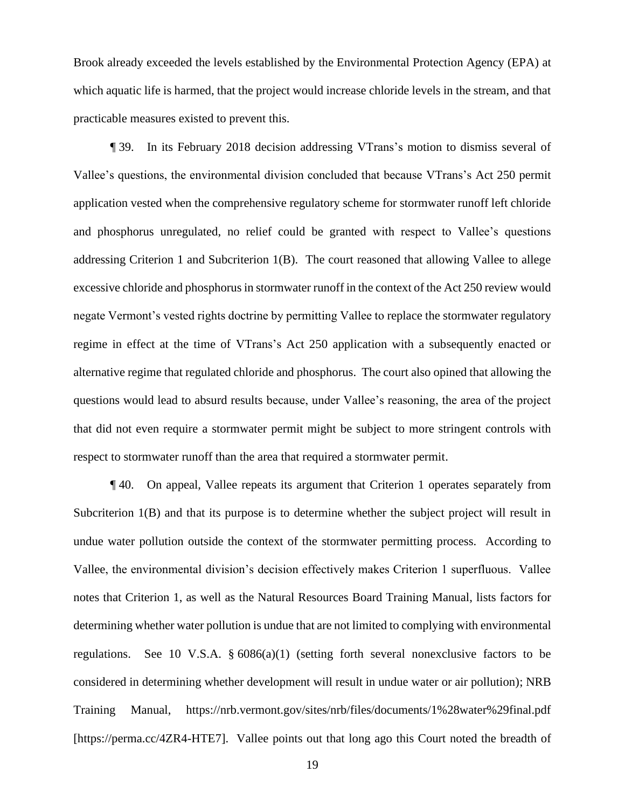Brook already exceeded the levels established by the Environmental Protection Agency (EPA) at which aquatic life is harmed, that the project would increase chloride levels in the stream, and that practicable measures existed to prevent this.

¶ 39. In its February 2018 decision addressing VTrans's motion to dismiss several of Vallee's questions, the environmental division concluded that because VTrans's Act 250 permit application vested when the comprehensive regulatory scheme for stormwater runoff left chloride and phosphorus unregulated, no relief could be granted with respect to Vallee's questions addressing Criterion 1 and Subcriterion 1(B). The court reasoned that allowing Vallee to allege excessive chloride and phosphorus in stormwater runoff in the context of the Act 250 review would negate Vermont's vested rights doctrine by permitting Vallee to replace the stormwater regulatory regime in effect at the time of VTrans's Act 250 application with a subsequently enacted or alternative regime that regulated chloride and phosphorus. The court also opined that allowing the questions would lead to absurd results because, under Vallee's reasoning, the area of the project that did not even require a stormwater permit might be subject to more stringent controls with respect to stormwater runoff than the area that required a stormwater permit.

¶ 40. On appeal, Vallee repeats its argument that Criterion 1 operates separately from Subcriterion 1(B) and that its purpose is to determine whether the subject project will result in undue water pollution outside the context of the stormwater permitting process. According to Vallee, the environmental division's decision effectively makes Criterion 1 superfluous. Vallee notes that Criterion 1, as well as the Natural Resources Board Training Manual, lists factors for determining whether water pollution is undue that are not limited to complying with environmental regulations. See 10 V.S.A.  $\S 6086(a)(1)$  (setting forth several nonexclusive factors to be considered in determining whether development will result in undue water or air pollution); NRB Training Manual, https://nrb.vermont.gov/sites/nrb/files/documents/1%28water%29final.pdf [https://perma.cc/4ZR4-HTE7]. Vallee points out that long ago this Court noted the breadth of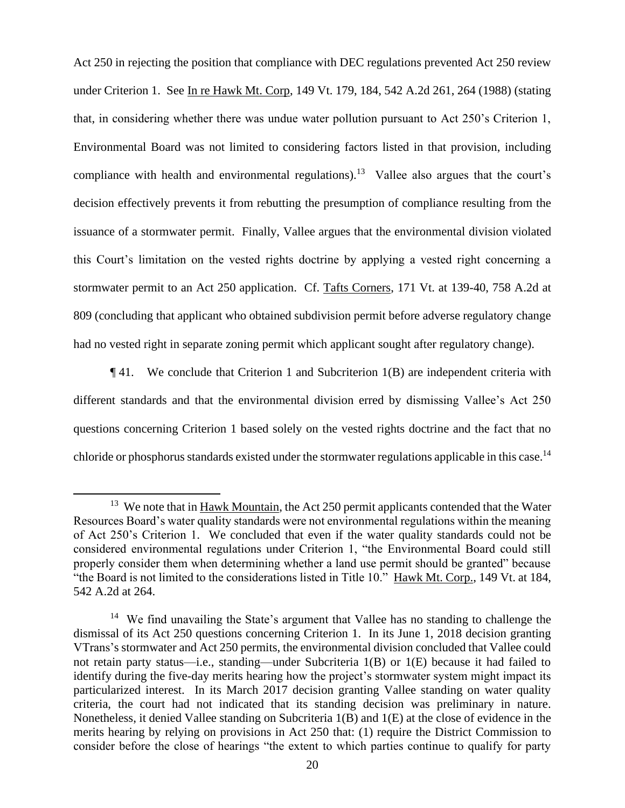Act 250 in rejecting the position that compliance with DEC regulations prevented Act 250 review under Criterion 1. See In re Hawk Mt. Corp, 149 Vt. 179, 184, 542 A.2d 261, 264 (1988) (stating that, in considering whether there was undue water pollution pursuant to Act 250's Criterion 1, Environmental Board was not limited to considering factors listed in that provision, including compliance with health and environmental regulations).<sup>13</sup> Vallee also argues that the court's decision effectively prevents it from rebutting the presumption of compliance resulting from the issuance of a stormwater permit. Finally, Vallee argues that the environmental division violated this Court's limitation on the vested rights doctrine by applying a vested right concerning a stormwater permit to an Act 250 application. Cf. Tafts Corners, 171 Vt. at 139-40, 758 A.2d at 809 (concluding that applicant who obtained subdivision permit before adverse regulatory change had no vested right in separate zoning permit which applicant sought after regulatory change).

¶ 41. We conclude that Criterion 1 and Subcriterion 1(B) are independent criteria with different standards and that the environmental division erred by dismissing Vallee's Act 250 questions concerning Criterion 1 based solely on the vested rights doctrine and the fact that no chloride or phosphorus standards existed under the stormwater regulations applicable in this case.<sup>14</sup>

<sup>&</sup>lt;sup>13</sup> We note that in  $H$ <sub>awk</sub> Mountain, the Act 250 permit applicants contended that the Water Resources Board's water quality standards were not environmental regulations within the meaning of Act 250's Criterion 1. We concluded that even if the water quality standards could not be considered environmental regulations under Criterion 1, "the Environmental Board could still properly consider them when determining whether a land use permit should be granted" because "the Board is not limited to the considerations listed in Title 10." Hawk Mt. Corp., 149 Vt. at 184, 542 A.2d at 264.

<sup>&</sup>lt;sup>14</sup> We find unavailing the State's argument that Vallee has no standing to challenge the dismissal of its Act 250 questions concerning Criterion 1. In its June 1, 2018 decision granting VTrans's stormwater and Act 250 permits, the environmental division concluded that Vallee could not retain party status—i.e., standing—under Subcriteria 1(B) or 1(E) because it had failed to identify during the five-day merits hearing how the project's stormwater system might impact its particularized interest. In its March 2017 decision granting Vallee standing on water quality criteria, the court had not indicated that its standing decision was preliminary in nature. Nonetheless, it denied Vallee standing on Subcriteria 1(B) and 1(E) at the close of evidence in the merits hearing by relying on provisions in Act 250 that: (1) require the District Commission to consider before the close of hearings "the extent to which parties continue to qualify for party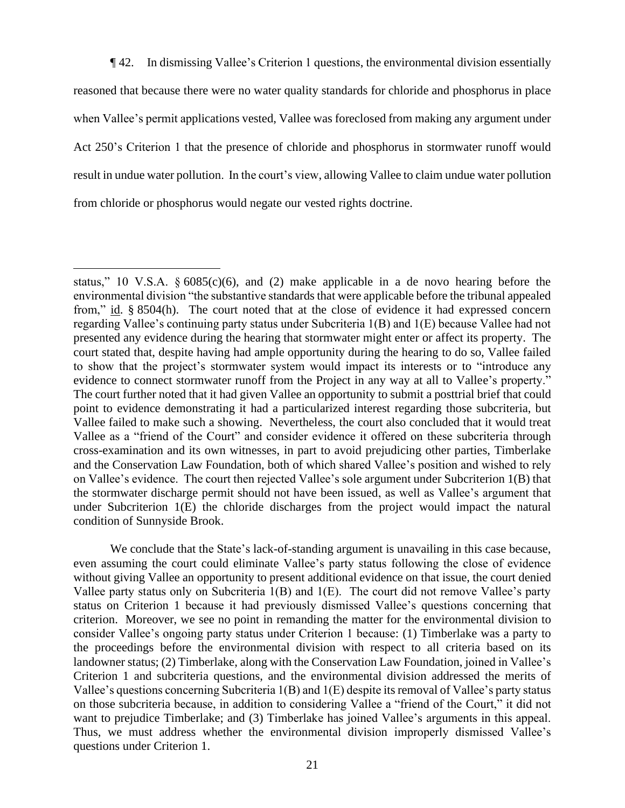¶ 42. In dismissing Vallee's Criterion 1 questions, the environmental division essentially reasoned that because there were no water quality standards for chloride and phosphorus in place when Vallee's permit applications vested, Vallee was foreclosed from making any argument under Act 250's Criterion 1 that the presence of chloride and phosphorus in stormwater runoff would result in undue water pollution. In the court's view, allowing Vallee to claim undue water pollution from chloride or phosphorus would negate our vested rights doctrine.

We conclude that the State's lack-of-standing argument is unavailing in this case because, even assuming the court could eliminate Vallee's party status following the close of evidence without giving Vallee an opportunity to present additional evidence on that issue, the court denied Vallee party status only on Subcriteria 1(B) and 1(E). The court did not remove Vallee's party status on Criterion 1 because it had previously dismissed Vallee's questions concerning that criterion. Moreover, we see no point in remanding the matter for the environmental division to consider Vallee's ongoing party status under Criterion 1 because: (1) Timberlake was a party to the proceedings before the environmental division with respect to all criteria based on its landowner status; (2) Timberlake, along with the Conservation Law Foundation, joined in Vallee's Criterion 1 and subcriteria questions, and the environmental division addressed the merits of Vallee's questions concerning Subcriteria 1(B) and 1(E) despite its removal of Vallee's party status on those subcriteria because, in addition to considering Vallee a "friend of the Court," it did not want to prejudice Timberlake; and (3) Timberlake has joined Vallee's arguments in this appeal. Thus, we must address whether the environmental division improperly dismissed Vallee's questions under Criterion 1.

status," 10 V.S.A.  $\delta$  6085(c)(6), and (2) make applicable in a de novo hearing before the environmental division "the substantive standards that were applicable before the tribunal appealed from," id. § 8504(h). The court noted that at the close of evidence it had expressed concern regarding Vallee's continuing party status under Subcriteria 1(B) and 1(E) because Vallee had not presented any evidence during the hearing that stormwater might enter or affect its property. The court stated that, despite having had ample opportunity during the hearing to do so, Vallee failed to show that the project's stormwater system would impact its interests or to "introduce any evidence to connect stormwater runoff from the Project in any way at all to Vallee's property." The court further noted that it had given Vallee an opportunity to submit a posttrial brief that could point to evidence demonstrating it had a particularized interest regarding those subcriteria, but Vallee failed to make such a showing. Nevertheless, the court also concluded that it would treat Vallee as a "friend of the Court" and consider evidence it offered on these subcriteria through cross-examination and its own witnesses, in part to avoid prejudicing other parties, Timberlake and the Conservation Law Foundation, both of which shared Vallee's position and wished to rely on Vallee's evidence. The court then rejected Vallee's sole argument under Subcriterion 1(B) that the stormwater discharge permit should not have been issued, as well as Vallee's argument that under Subcriterion 1(E) the chloride discharges from the project would impact the natural condition of Sunnyside Brook.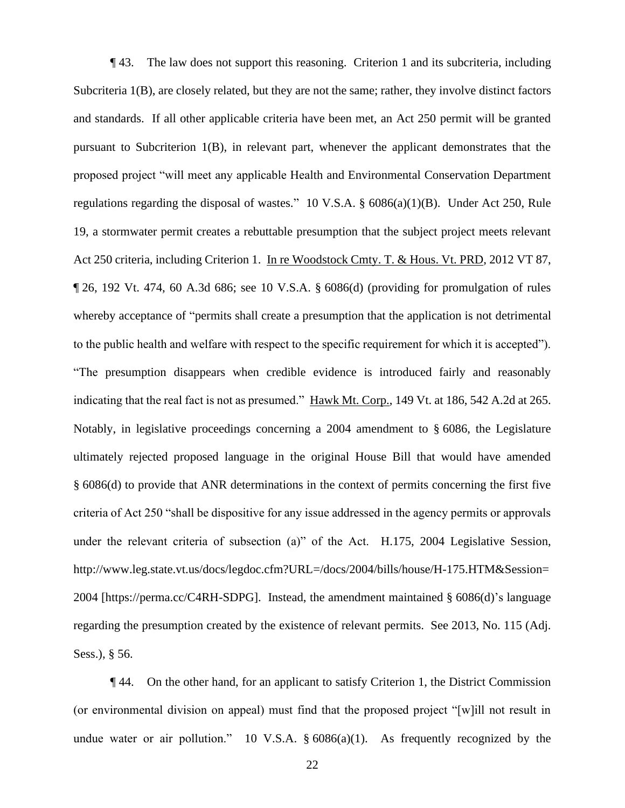¶ 43. The law does not support this reasoning. Criterion 1 and its subcriteria, including Subcriteria 1(B), are closely related, but they are not the same; rather, they involve distinct factors and standards. If all other applicable criteria have been met, an Act 250 permit will be granted pursuant to Subcriterion 1(B), in relevant part, whenever the applicant demonstrates that the proposed project "will meet any applicable Health and Environmental Conservation Department regulations regarding the disposal of wastes." 10 V.S.A. § 6086(a)(1)(B). Under Act 250, Rule 19, a stormwater permit creates a rebuttable presumption that the subject project meets relevant Act 250 criteria, including Criterion 1. In re Woodstock Cmty. T. & Hous. Vt. PRD, 2012 VT 87, ¶ 26, 192 Vt. 474, 60 A.3d 686; see 10 V.S.A. § 6086(d) (providing for promulgation of rules whereby acceptance of "permits shall create a presumption that the application is not detrimental to the public health and welfare with respect to the specific requirement for which it is accepted"). "The presumption disappears when credible evidence is introduced fairly and reasonably indicating that the real fact is not as presumed." Hawk Mt. Corp., 149 Vt. at 186, 542 A.2d at 265. Notably, in legislative proceedings concerning a 2004 amendment to § 6086, the Legislature ultimately rejected proposed language in the original House Bill that would have amended § 6086(d) to provide that ANR determinations in the context of permits concerning the first five criteria of Act 250 "shall be dispositive for any issue addressed in the agency permits or approvals under the relevant criteria of subsection (a)" of the Act. H.175, 2004 Legislative Session, http://www.leg.state.vt.us/docs/legdoc.cfm?URL=/docs/2004/bills/house/H-175.HTM&Session= 2004 [https://perma.cc/C4RH-SDPG]. Instead, the amendment maintained § 6086(d)'s language regarding the presumption created by the existence of relevant permits. See 2013, No. 115 (Adj. Sess.), § 56.

¶ 44. On the other hand, for an applicant to satisfy Criterion 1, the District Commission (or environmental division on appeal) must find that the proposed project "[w]ill not result in undue water or air pollution." 10 V.S.A.  $\S 6086(a)(1)$ . As frequently recognized by the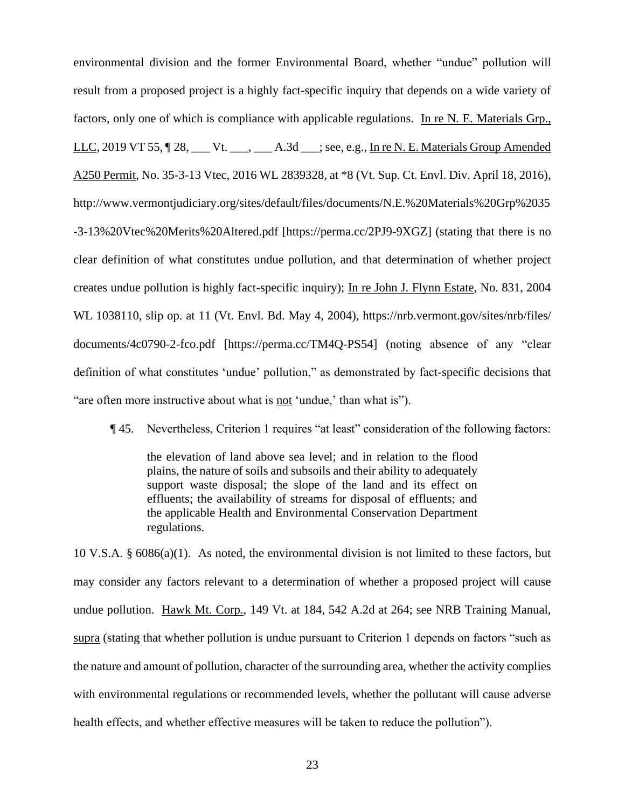environmental division and the former Environmental Board, whether "undue" pollution will result from a proposed project is a highly fact-specific inquiry that depends on a wide variety of factors, only one of which is compliance with applicable regulations. In re N. E. Materials Grp., LLC, 2019 VT 55,  $\parallel$  28, \_\_\_ Vt. \_\_\_, \_\_\_ A.3d \_\_\_; see, e.g., In re N. E. Materials Group Amended A250 Permit, No. 35-3-13 Vtec, 2016 WL 2839328, at \*8 (Vt. Sup. Ct. Envl. Div. April 18, 2016), http://www.vermontjudiciary.org/sites/default/files/documents/N.E.%20Materials%20Grp%2035 -3-13%20Vtec%20Merits%20Altered.pdf [https://perma.cc/2PJ9-9XGZ] (stating that there is no clear definition of what constitutes undue pollution, and that determination of whether project creates undue pollution is highly fact-specific inquiry); In re John J. Flynn Estate, No. 831, 2004 WL 1038110, slip op. at 11 (Vt. Envl. Bd. May 4, 2004), [https://nrb.vermont.gov/s](https://nrb.vermont.gov/)ites/nrb/files/ documents/4c0790-2-fco.pdf [https://perma.cc/TM4Q-PS54] (noting absence of any "clear definition of what constitutes 'undue' pollution," as demonstrated by fact-specific decisions that "are often more instructive about what is not 'undue,' than what is").

¶ 45. Nevertheless, Criterion 1 requires "at least" consideration of the following factors:

the elevation of land above sea level; and in relation to the flood plains, the nature of soils and subsoils and their ability to adequately support waste disposal; the slope of the land and its effect on effluents; the availability of streams for disposal of effluents; and the applicable Health and Environmental Conservation Department regulations.

10 V.S.A. § 6086(a)(1). As noted, the environmental division is not limited to these factors, but may consider any factors relevant to a determination of whether a proposed project will cause undue pollution. Hawk Mt. Corp., 149 Vt. at 184, 542 A.2d at 264; see NRB Training Manual, supra (stating that whether pollution is undue pursuant to Criterion 1 depends on factors "such as the nature and amount of pollution, character of the surrounding area, whether the activity complies with environmental regulations or recommended levels, whether the pollutant will cause adverse health effects, and whether effective measures will be taken to reduce the pollution").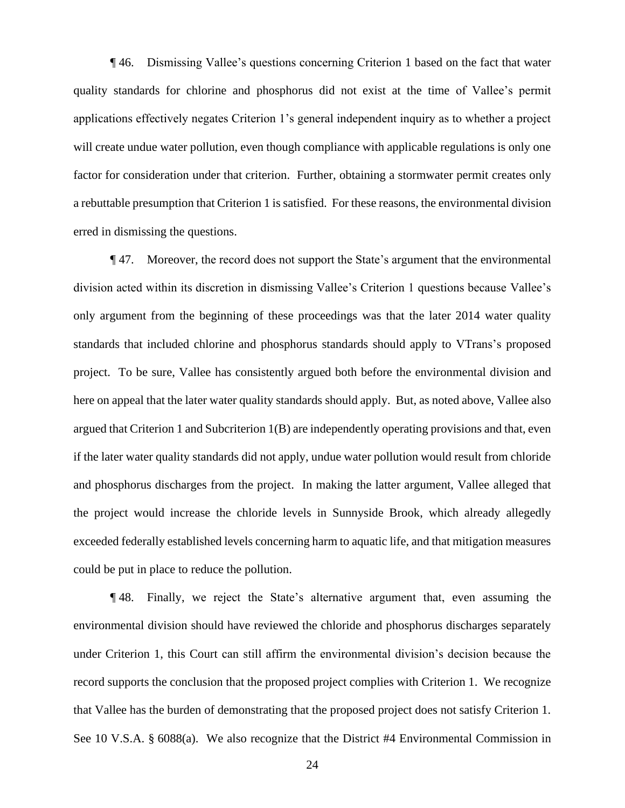¶ 46. Dismissing Vallee's questions concerning Criterion 1 based on the fact that water quality standards for chlorine and phosphorus did not exist at the time of Vallee's permit applications effectively negates Criterion 1's general independent inquiry as to whether a project will create undue water pollution, even though compliance with applicable regulations is only one factor for consideration under that criterion. Further, obtaining a stormwater permit creates only a rebuttable presumption that Criterion 1 is satisfied. For these reasons, the environmental division erred in dismissing the questions.

¶ 47. Moreover, the record does not support the State's argument that the environmental division acted within its discretion in dismissing Vallee's Criterion 1 questions because Vallee's only argument from the beginning of these proceedings was that the later 2014 water quality standards that included chlorine and phosphorus standards should apply to VTrans's proposed project. To be sure, Vallee has consistently argued both before the environmental division and here on appeal that the later water quality standards should apply. But, as noted above, Vallee also argued that Criterion 1 and Subcriterion 1(B) are independently operating provisions and that, even if the later water quality standards did not apply, undue water pollution would result from chloride and phosphorus discharges from the project. In making the latter argument, Vallee alleged that the project would increase the chloride levels in Sunnyside Brook, which already allegedly exceeded federally established levels concerning harm to aquatic life, and that mitigation measures could be put in place to reduce the pollution.

¶ 48. Finally, we reject the State's alternative argument that, even assuming the environmental division should have reviewed the chloride and phosphorus discharges separately under Criterion 1, this Court can still affirm the environmental division's decision because the record supports the conclusion that the proposed project complies with Criterion 1. We recognize that Vallee has the burden of demonstrating that the proposed project does not satisfy Criterion 1. See 10 V.S.A. § 6088(a). We also recognize that the District #4 Environmental Commission in